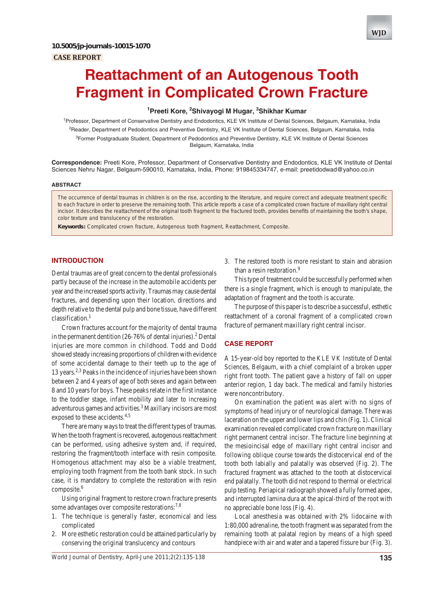

# **Reattachment of an Autogenous Tooth Fragment in Complicated Crown Fracture**

## **1 Preeti Kore, 2 Shivayogi M Hugar, 3 Shikhar Kumar**

<sup>1</sup> Professor, Department of Conservative Dentistry and Endodontics, KLE VK Institute of Dental Sciences, Belgaum, Karnataka, India <sup>2</sup>Reader, Department of Pedodontics and Preventive Dentistry, KLE VK Institute of Dental Sciences, Belgaum, Karnataka, India <sup>3</sup>Former Postgraduate Student, Department of Pedodontics and Preventive Dentistry, KLE VK Institute of Dental Sciences Belgaum, Karnataka, India

**Correspondence:** Preeti Kore, Professor, Department of Conservative Dentistry and Endodontics, KLE VK Institute of Dental Sciences Nehru Nagar, Belgaum-590010, Karnataka, India, Phone: 919845334747, e-mail: preetidodwad@yahoo.co.in

#### **ABSTRACT**

The occurrence of dental traumas in children is on the rise, according to the literature, and require correct and adequate treatment specific to each fracture in order to preserve the remaining tooth. This article reports a case of a complicated crown fracture of maxillary right central incisor. It describes the reattachment of the original tooth fragment to the fractured tooth, provides benefits of maintaining the tooth's shape, color texture and translucency of the restoration.

**Keywords:** Complicated crown fracture, Autogenous tooth fragment, Reattachment, Composite.

## **INTRODUCTION**

Dental traumas are of great concern to the dental professionals partly because of the increase in the automobile accidents per year and the increased sports activity. Traumas may cause dental fractures, and depending upon their location, directions and depth relative to the dental pulp and bone tissue, have different classification.<sup>1</sup>

Crown fractures account for the majority of dental trauma in the permanent dentition (26-76% of dental injuries).<sup>2</sup> Dental injuries are more common in childhood. Todd and Dodd showed steady increasing proportions of children with evidence of some accidental damage to their teeth up to the age of 13 years.<sup>2,3</sup> Peaks in the incidence of injuries have been shown between 2 and 4 years of age of both sexes and again between 8 and 10 years for boys. These peaks relate in the first instance to the toddler stage, infant mobility and later to increasing adventurous games and activities.<sup>3</sup> Maxillary incisors are most exposed to these accidents.<sup>4,5</sup>

There are many ways to treat the different types of traumas. When the tooth fragment is recovered, autogenous reattachment can be performed, using adhesive system and, if required, restoring the fragment/tooth interface with resin composite. Homogenous attachment may also be a viable treatment, employing tooth fragment from the tooth bank stock. In such case, it is mandatory to complete the restoration with resin composite.<sup>6</sup>

Using original fragment to restore crown fracture presents some advantages over composite restorations:<sup>7,8</sup>

- 1. The technique is generally faster, economical and less complicated
- 2. More esthetic restoration could be attained particularly by conserving the original translucency and contours

3. The restored tooth is more resistant to stain and abrasion than a resin restoration.<sup>9</sup>

This type of treatment could be successfully performed when there is a single fragment, which is enough to manipulate, the adaptation of fragment and the tooth is accurate.

The purpose of this paper is to describe a successful, esthetic reattachment of a coronal fragment of a complicated crown fracture of permanent maxillary right central incisor.

### **CASE REPORT**

A 15-year-old boy reported to the KLE VK Institute of Dental Sciences, Belgaum, with a chief complaint of a broken upper right front tooth. The patient gave a history of fall on upper anterior region, 1 day back. The medical and family histories were noncontributory.

On examination the patient was alert with no signs of symptoms of head injury or of neurological damage. There was laceration on the upper and lower lips and chin (Fig. 1). Clinical examination revealed complicated crown fracture on maxillary right permanent central incisor. The fracture line beginning at the mesioincisal edge of maxillary right central incisor and following oblique course towards the distocervical end of the tooth both labially and palatally was observed (Fig. 2). The fractured fragment was attached to the tooth at distocervical end palatally. The tooth did not respond to thermal or electrical pulp testing. Periapical radiograph showed a fully formed apex, and interrupted lamina dura at the apical-third of the root with no appreciable bone loss (Fig. 4).

Local anesthesia was obtained with 2% lidocaine with 1:80,000 adrenaline, the tooth fragment was separated from the remaining tooth at palatal region by means of a high speed handpiece with air and water and a tapered fissure bur (Fig. 3).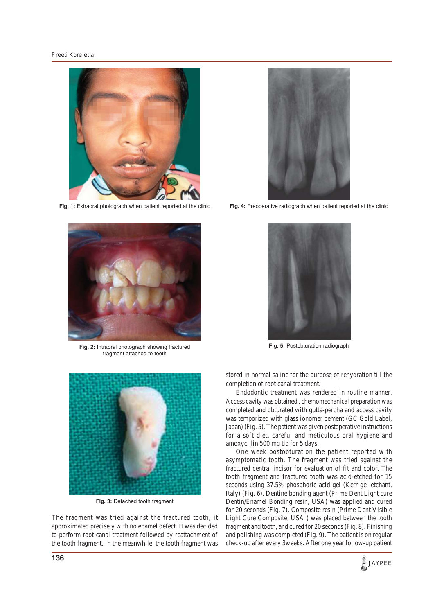

Fig. 1: Extraoral photograph when patient reported at the clinic



**Fig. 2:** Intraoral photograph showing fractured fragment attached to tooth



**Fig. 3:** Detached tooth fragment

The fragment was tried against the fractured tooth, it approximated precisely with no enamel defect. It was decided to perform root canal treatment followed by reattachment of the tooth fragment. In the meanwhile, the tooth fragment was



Fig. 4: Preoperative radiograph when patient reported at the clinic



**Fig. 5:** Postobturation radiograph

stored in normal saline for the purpose of rehydration till the completion of root canal treatment.

Endodontic treatment was rendered in routine manner. Access cavity was obtained , chemomechanical preparation was completed and obturated with gutta-percha and access cavity was temporized with glass ionomer cement (GC Gold Label, Japan) (Fig. 5). The patient was given postoperative instructions for a soft diet, careful and meticulous oral hygiene and amoxycillin 500 mg tid for 5 days.

One week postobturation the patient reported with asymptomatic tooth. The fragment was tried against the fractured central incisor for evaluation of fit and color. The tooth fragment and fractured tooth was acid-etched for 15 seconds using 37.5% phosphoric acid gel (Kerr gel etchant, Italy) (Fig. 6). Dentine bonding agent (Prime Dent Light cure Dentin/Enamel Bonding resin, USA) was applied and cured for 20 seconds (Fig. 7). Composite resin (Prime Dent Visible Light Cure Composite, USA ) was placed between the tooth fragment and tooth, and cured for 20 seconds (Fig. 8). Finishing and polishing was completed (Fig. 9). The patient is on regular check-up after every 3weeks. After one year follow-up patient

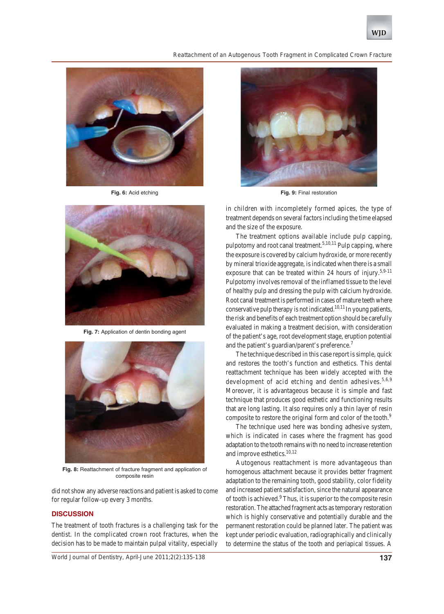#### *Reattachment of an Autogenous Tooth Fragment in Complicated Crown Fracture*



**Fig. 6:** Acid etching



**Fig. 7:** Application of dentin bonding agent



**Fig. 8:** Reattachment of fracture fragment and application of composite resin

did not show any adverse reactions and patient is asked to come for regular follow-up every 3 months.

# **DISCUSSION**

The treatment of tooth fractures is a challenging task for the dentist. In the complicated crown root fractures, when the decision has to be made to maintain pulpal vitality, especially

*World Journal of Dentistry, April-June 2011;2(2):135-138* **137**



**Fig. 9:** Final restoration

in children with incompletely formed apices, the type of treatment depends on several factors including the time elapsed and the size of the exposure.

The treatment options available include pulp capping, pulpotomy and root canal treatment.<sup>5,10,11</sup> Pulp capping, where the exposure is covered by calcium hydroxide, or more recently by mineral trioxide aggregate, is indicated when there is a small exposure that can be treated within 24 hours of injury.<sup>5,9-11</sup> Pulpotomy involves removal of the inflamed tissue to the level of healthy pulp and dressing the pulp with calcium hydroxide. Root canal treatment is performed in cases of mature teeth where conservative pulp therapy is not indicated.<sup>10,11</sup> In young patients, the risk and benefits of each treatment option should be carefully evaluated in making a treatment decision, with consideration of the patient's age, root development stage, eruption potential and the patient's guardian/parent's preference.<sup>7</sup>

The technique described in this case report is simple, quick and restores the tooth's function and esthetics. This dental reattachment technique has been widely accepted with the development of acid etching and dentin adhesives.  $5,6,9$ Moreover, it is advantageous because it is simple and fast technique that produces good esthetic and functioning results that are long lasting. It also requires only a thin layer of resin composite to restore the original form and color of the tooth.<sup>9</sup>

The technique used here was bonding adhesive system, which is indicated in cases where the fragment has good adaptation to the tooth remains with no need to increase retention and improve esthetics.<sup>10,12</sup>

Autogenous reattachment is more advantageous than homogenous attachment because it provides better fragment adaptation to the remaining tooth, good stability, color fidelity and increased patient satisfaction, since the natural appearance of tooth is achieved.<sup>9</sup> Thus, it is superior to the composite resin restoration. The attached fragment acts as temporary restoration which is highly conservative and potentially durable and the permanent restoration could be planned later. The patient was kept under periodic evaluation, radiographically and clinically to determine the status of the tooth and periapical tissues. A